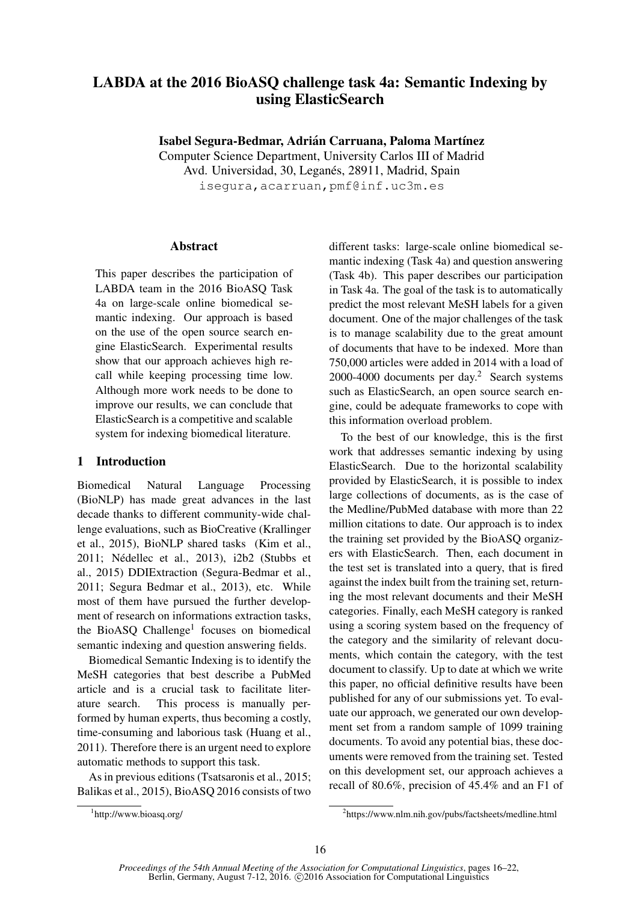# LABDA at the 2016 BioASQ challenge task 4a: Semantic Indexing by using ElasticSearch

Isabel Segura-Bedmar, Adrián Carruana, Paloma Martínez

Computer Science Department, University Carlos III of Madrid

Avd. Universidad, 30, Leganés, 28911, Madrid, Spain

isegura, acarruan, pmf@inf.uc3m.es

### Abstract

This paper describes the participation of LABDA team in the 2016 BioASQ Task 4a on large-scale online biomedical semantic indexing. Our approach is based on the use of the open source search engine ElasticSearch. Experimental results show that our approach achieves high recall while keeping processing time low. Although more work needs to be done to improve our results, we can conclude that ElasticSearch is a competitive and scalable system for indexing biomedical literature.

# 1 Introduction

Biomedical Natural Language Processing (BioNLP) has made great advances in the last decade thanks to different community-wide challenge evaluations, such as BioCreative (Krallinger et al., 2015), BioNLP shared tasks (Kim et al., 2011; Nedellec et al., 2013), i2b2 (Stubbs et ´ al., 2015) DDIExtraction (Segura-Bedmar et al., 2011; Segura Bedmar et al., 2013), etc. While most of them have pursued the further development of research on informations extraction tasks, the BioASQ Challenge<sup>1</sup> focuses on biomedical semantic indexing and question answering fields.

Biomedical Semantic Indexing is to identify the MeSH categories that best describe a PubMed article and is a crucial task to facilitate literature search. This process is manually performed by human experts, thus becoming a costly, time-consuming and laborious task (Huang et al., 2011). Therefore there is an urgent need to explore automatic methods to support this task.

As in previous editions (Tsatsaronis et al., 2015; Balikas et al., 2015), BioASQ 2016 consists of two

To the best of our knowledge, this is the first work that addresses semantic indexing by using ElasticSearch. Due to the horizontal scalability provided by ElasticSearch, it is possible to index large collections of documents, as is the case of the Medline/PubMed database with more than 22 million citations to date. Our approach is to index the training set provided by the BioASQ organizers with ElasticSearch. Then, each document in the test set is translated into a query, that is fired against the index built from the training set, returning the most relevant documents and their MeSH categories. Finally, each MeSH category is ranked using a scoring system based on the frequency of the category and the similarity of relevant documents, which contain the category, with the test document to classify. Up to date at which we write this paper, no official definitive results have been published for any of our submissions yet. To evaluate our approach, we generated our own development set from a random sample of 1099 training documents. To avoid any potential bias, these documents were removed from the training set. Tested on this development set, our approach achieves a recall of 80.6%, precision of 45.4% and an F1 of

different tasks: large-scale online biomedical semantic indexing (Task 4a) and question answering (Task 4b). This paper describes our participation in Task 4a. The goal of the task is to automatically predict the most relevant MeSH labels for a given document. One of the major challenges of the task is to manage scalability due to the great amount of documents that have to be indexed. More than 750,000 articles were added in 2014 with a load of 2000-4000 documents per day.<sup>2</sup> Search systems such as ElasticSearch, an open source search engine, could be adequate frameworks to cope with this information overload problem.

<sup>1</sup> http://www.bioasq.org/

<sup>2</sup> https://www.nlm.nih.gov/pubs/factsheets/medline.html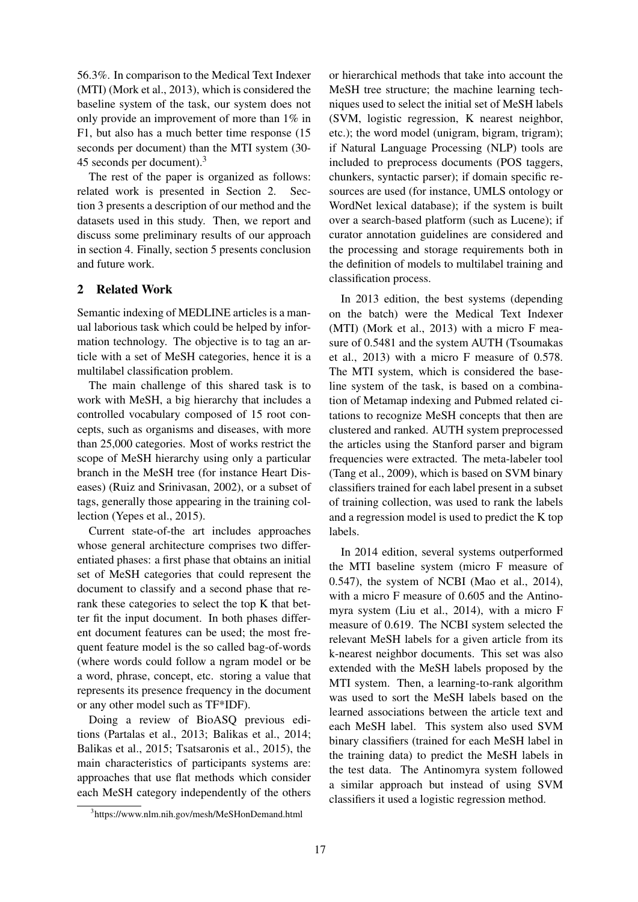56.3%. In comparison to the Medical Text Indexer (MTI) (Mork et al., 2013), which is considered the baseline system of the task, our system does not only provide an improvement of more than 1% in F1, but also has a much better time response (15 seconds per document) than the MTI system (30- 45 seconds per document).<sup>3</sup>

The rest of the paper is organized as follows: related work is presented in Section 2. Section 3 presents a description of our method and the datasets used in this study. Then, we report and discuss some preliminary results of our approach in section 4. Finally, section 5 presents conclusion and future work.

## 2 Related Work

Semantic indexing of MEDLINE articles is a manual laborious task which could be helped by information technology. The objective is to tag an article with a set of MeSH categories, hence it is a multilabel classification problem.

The main challenge of this shared task is to work with MeSH, a big hierarchy that includes a controlled vocabulary composed of 15 root concepts, such as organisms and diseases, with more than 25,000 categories. Most of works restrict the scope of MeSH hierarchy using only a particular branch in the MeSH tree (for instance Heart Diseases) (Ruiz and Srinivasan, 2002), or a subset of tags, generally those appearing in the training collection (Yepes et al., 2015).

Current state-of-the art includes approaches whose general architecture comprises two differentiated phases: a first phase that obtains an initial set of MeSH categories that could represent the document to classify and a second phase that rerank these categories to select the top K that better fit the input document. In both phases different document features can be used; the most frequent feature model is the so called bag-of-words (where words could follow a ngram model or be a word, phrase, concept, etc. storing a value that represents its presence frequency in the document or any other model such as TF\*IDF).

Doing a review of BioASQ previous editions (Partalas et al., 2013; Balikas et al., 2014; Balikas et al., 2015; Tsatsaronis et al., 2015), the main characteristics of participants systems are: approaches that use flat methods which consider each MeSH category independently of the others

or hierarchical methods that take into account the MeSH tree structure; the machine learning techniques used to select the initial set of MeSH labels (SVM, logistic regression, K nearest neighbor, etc.); the word model (unigram, bigram, trigram); if Natural Language Processing (NLP) tools are included to preprocess documents (POS taggers, chunkers, syntactic parser); if domain specific resources are used (for instance, UMLS ontology or WordNet lexical database); if the system is built over a search-based platform (such as Lucene); if curator annotation guidelines are considered and the processing and storage requirements both in the definition of models to multilabel training and classification process.

In 2013 edition, the best systems (depending on the batch) were the Medical Text Indexer (MTI) (Mork et al., 2013) with a micro F measure of 0.5481 and the system AUTH (Tsoumakas et al., 2013) with a micro F measure of 0.578. The MTI system, which is considered the baseline system of the task, is based on a combination of Metamap indexing and Pubmed related citations to recognize MeSH concepts that then are clustered and ranked. AUTH system preprocessed the articles using the Stanford parser and bigram frequencies were extracted. The meta-labeler tool (Tang et al., 2009), which is based on SVM binary classifiers trained for each label present in a subset of training collection, was used to rank the labels and a regression model is used to predict the K top labels.

In 2014 edition, several systems outperformed the MTI baseline system (micro F measure of 0.547), the system of NCBI (Mao et al., 2014), with a micro F measure of 0.605 and the Antinomyra system (Liu et al., 2014), with a micro F measure of 0.619. The NCBI system selected the relevant MeSH labels for a given article from its k-nearest neighbor documents. This set was also extended with the MeSH labels proposed by the MTI system. Then, a learning-to-rank algorithm was used to sort the MeSH labels based on the learned associations between the article text and each MeSH label. This system also used SVM binary classifiers (trained for each MeSH label in the training data) to predict the MeSH labels in the test data. The Antinomyra system followed a similar approach but instead of using SVM classifiers it used a logistic regression method.

<sup>3</sup> https://www.nlm.nih.gov/mesh/MeSHonDemand.html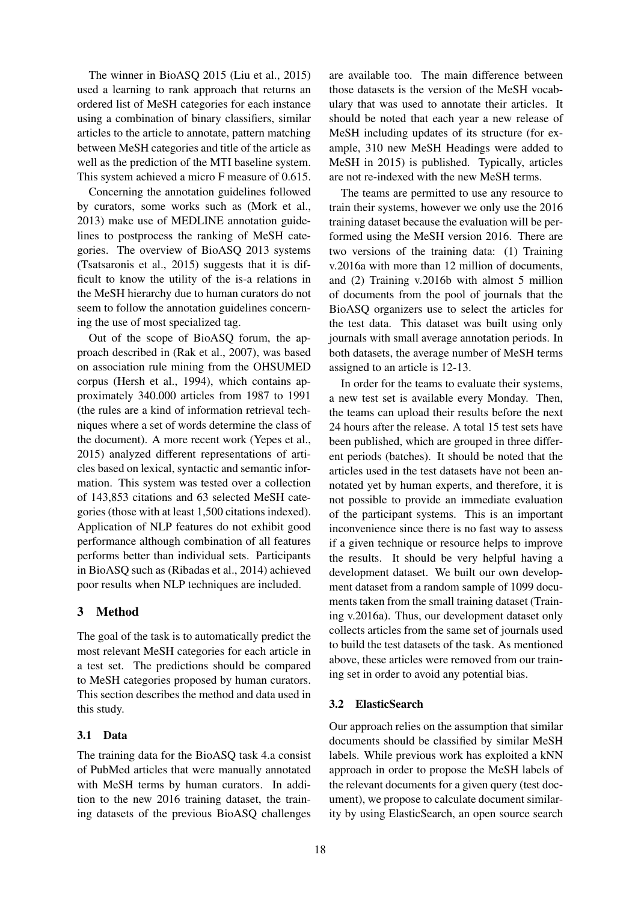The winner in BioASQ 2015 (Liu et al., 2015) used a learning to rank approach that returns an ordered list of MeSH categories for each instance using a combination of binary classifiers, similar articles to the article to annotate, pattern matching between MeSH categories and title of the article as well as the prediction of the MTI baseline system. This system achieved a micro F measure of 0.615.

Concerning the annotation guidelines followed by curators, some works such as (Mork et al., 2013) make use of MEDLINE annotation guidelines to postprocess the ranking of MeSH categories. The overview of BioASQ 2013 systems (Tsatsaronis et al., 2015) suggests that it is difficult to know the utility of the is-a relations in the MeSH hierarchy due to human curators do not seem to follow the annotation guidelines concerning the use of most specialized tag.

Out of the scope of BioASQ forum, the approach described in (Rak et al., 2007), was based on association rule mining from the OHSUMED corpus (Hersh et al., 1994), which contains approximately 340.000 articles from 1987 to 1991 (the rules are a kind of information retrieval techniques where a set of words determine the class of the document). A more recent work (Yepes et al., 2015) analyzed different representations of articles based on lexical, syntactic and semantic information. This system was tested over a collection of 143,853 citations and 63 selected MeSH categories (those with at least 1,500 citations indexed). Application of NLP features do not exhibit good performance although combination of all features performs better than individual sets. Participants in BioASQ such as (Ribadas et al., 2014) achieved poor results when NLP techniques are included.

# 3 Method

The goal of the task is to automatically predict the most relevant MeSH categories for each article in a test set. The predictions should be compared to MeSH categories proposed by human curators. This section describes the method and data used in this study.

# 3.1 Data

The training data for the BioASQ task 4.a consist of PubMed articles that were manually annotated with MeSH terms by human curators. In addition to the new 2016 training dataset, the training datasets of the previous BioASQ challenges

are available too. The main difference between those datasets is the version of the MeSH vocabulary that was used to annotate their articles. It should be noted that each year a new release of MeSH including updates of its structure (for example, 310 new MeSH Headings were added to MeSH in 2015) is published. Typically, articles are not re-indexed with the new MeSH terms.

The teams are permitted to use any resource to train their systems, however we only use the 2016 training dataset because the evaluation will be performed using the MeSH version 2016. There are two versions of the training data: (1) Training v.2016a with more than 12 million of documents, and (2) Training v.2016b with almost 5 million of documents from the pool of journals that the BioASQ organizers use to select the articles for the test data. This dataset was built using only journals with small average annotation periods. In both datasets, the average number of MeSH terms assigned to an article is 12-13.

In order for the teams to evaluate their systems, a new test set is available every Monday. Then, the teams can upload their results before the next 24 hours after the release. A total 15 test sets have been published, which are grouped in three different periods (batches). It should be noted that the articles used in the test datasets have not been annotated yet by human experts, and therefore, it is not possible to provide an immediate evaluation of the participant systems. This is an important inconvenience since there is no fast way to assess if a given technique or resource helps to improve the results. It should be very helpful having a development dataset. We built our own development dataset from a random sample of 1099 documents taken from the small training dataset (Training v.2016a). Thus, our development dataset only collects articles from the same set of journals used to build the test datasets of the task. As mentioned above, these articles were removed from our training set in order to avoid any potential bias.

# 3.2 ElasticSearch

Our approach relies on the assumption that similar documents should be classified by similar MeSH labels. While previous work has exploited a kNN approach in order to propose the MeSH labels of the relevant documents for a given query (test document), we propose to calculate document similarity by using ElasticSearch, an open source search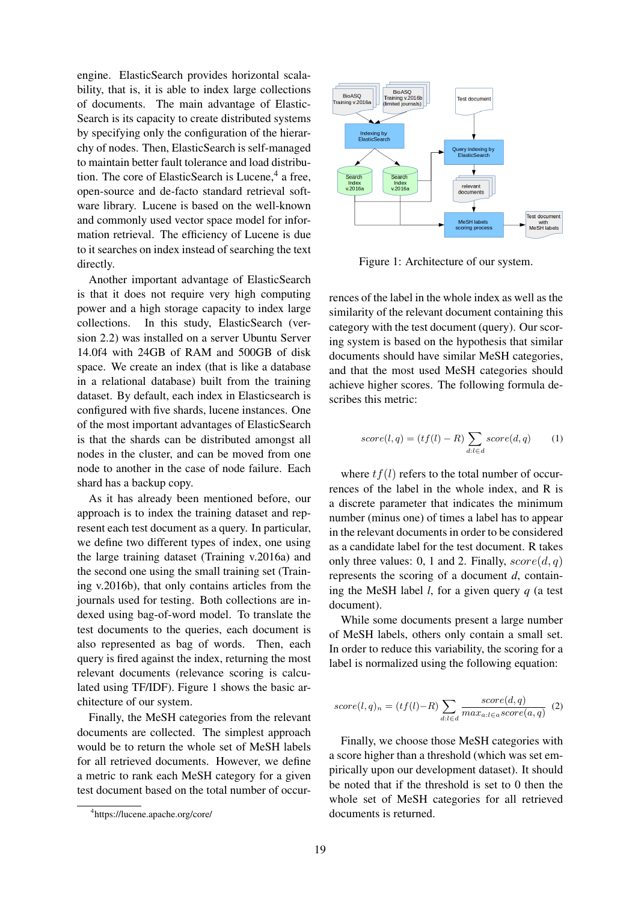engine. ElasticSearch provides horizontal scalability, that is, it is able to index large collections of documents. The main advantage of Elastic-Search is its capacity to create distributed systems by specifying only the configuration of the hierarchy of nodes. Then, ElasticSearch is self-managed to maintain better fault tolerance and load distribution. The core of ElasticSearch is Lucene,<sup>4</sup> a free, open-source and de-facto standard retrieval software library. Lucene is based on the well-known and commonly used vector space model for information retrieval. The efficiency of Lucene is due to it searches on index instead of searching the text directly.

Another important advantage of ElasticSearch is that it does not require very high computing power and a high storage capacity to index large collections. In this study, ElasticSearch (version 2.2) was installed on a server Ubuntu Server 14.0f4 with 24GB of RAM and 500GB of disk space. We create an index (that is like a database in a relational database) built from the training dataset. By default, each index in Elasticsearch is configured with five shards, lucene instances. One of the most important advantages of ElasticSearch is that the shards can be distributed amongst all nodes in the cluster, and can be moved from one node to another in the case of node failure. Each shard has a backup copy.

As it has already been mentioned before, our approach is to index the training dataset and represent each test document as a query. In particular, we define two different types of index, one using the large training dataset (Training v.2016a) and the second one using the small training set (Training v.2016b), that only contains articles from the journals used for testing. Both collections are indexed using bag-of-word model. To translate the test documents to the queries, each document is also represented as bag of words. Then, each query is fired against the index, returning the most relevant documents (relevance scoring is calculated using TF/IDF). Figure 1 shows the basic architecture of our system.

Finally, the MeSH categories from the relevant documents are collected. The simplest approach would be to return the whole set of MeSH labels for all retrieved documents. However, we define a metric to rank each MeSH category for a given test document based on the total number of occur-



Figure 1: Architecture of our system.

rences of the label in the whole index as well as the similarity of the relevant document containing this category with the test document (query). Our scoring system is based on the hypothesis that similar documents should have similar MeSH categories, and that the most used MeSH categories should achieve higher scores. The following formula describes this metric:

$$
score(l,q) = (tf(l) - R) \sum_{d:l \in d} score(d,q)
$$
 (1)

where  $tf(l)$  refers to the total number of occurrences of the label in the whole index, and R is a discrete parameter that indicates the minimum number (minus one) of times a label has to appear in the relevant documents in order to be considered as a candidate label for the test document. R takes only three values: 0, 1 and 2. Finally,  $score(d, q)$ represents the scoring of a document *d*, containing the MeSH label *l*, for a given query *q* (a test document).

While some documents present a large number of MeSH labels, others only contain a small set. In order to reduce this variability, the scoring for a label is normalized using the following equation:

$$
score(l,q)_n = (tf(l)-R)\sum_{d:l \in d} \frac{score(d,q)}{max_{a:l \in a} score(a,q)} \tag{2}
$$

Finally, we choose those MeSH categories with a score higher than a threshold (which was set empirically upon our development dataset). It should be noted that if the threshold is set to 0 then the whole set of MeSH categories for all retrieved documents is returned.

<sup>4</sup> https://lucene.apache.org/core/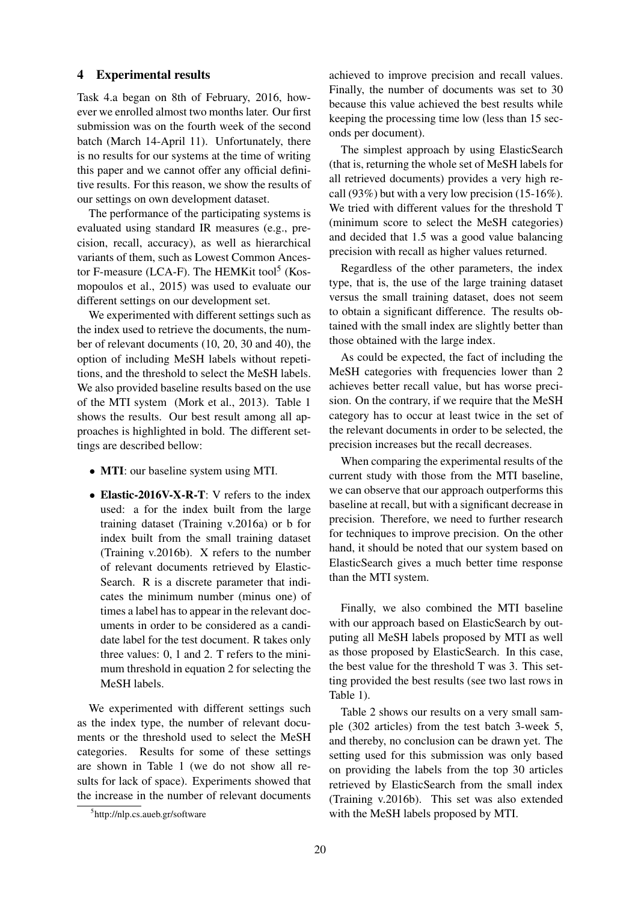#### 4 Experimental results

Task 4.a began on 8th of February, 2016, however we enrolled almost two months later. Our first submission was on the fourth week of the second batch (March 14-April 11). Unfortunately, there is no results for our systems at the time of writing this paper and we cannot offer any official definitive results. For this reason, we show the results of our settings on own development dataset.

The performance of the participating systems is evaluated using standard IR measures (e.g., precision, recall, accuracy), as well as hierarchical variants of them, such as Lowest Common Ancestor F-measure (LCA-F). The HEMKit tool<sup>5</sup> (Kosmopoulos et al., 2015) was used to evaluate our different settings on our development set.

We experimented with different settings such as the index used to retrieve the documents, the number of relevant documents (10, 20, 30 and 40), the option of including MeSH labels without repetitions, and the threshold to select the MeSH labels. We also provided baseline results based on the use of the MTI system (Mork et al., 2013). Table 1 shows the results. Our best result among all approaches is highlighted in bold. The different settings are described bellow:

- **MTI**: our baseline system using MTI.
- Elastic-2016V-X-R-T: V refers to the index used: a for the index built from the large training dataset (Training v.2016a) or b for index built from the small training dataset (Training v.2016b). X refers to the number of relevant documents retrieved by Elastic-Search. R is a discrete parameter that indicates the minimum number (minus one) of times a label has to appear in the relevant documents in order to be considered as a candidate label for the test document. R takes only three values: 0, 1 and 2. T refers to the minimum threshold in equation 2 for selecting the MeSH labels.

We experimented with different settings such as the index type, the number of relevant documents or the threshold used to select the MeSH categories. Results for some of these settings are shown in Table 1 (we do not show all results for lack of space). Experiments showed that the increase in the number of relevant documents achieved to improve precision and recall values. Finally, the number of documents was set to 30 because this value achieved the best results while keeping the processing time low (less than 15 seconds per document).

The simplest approach by using ElasticSearch (that is, returning the whole set of MeSH labels for all retrieved documents) provides a very high recall (93%) but with a very low precision (15-16%). We tried with different values for the threshold T (minimum score to select the MeSH categories) and decided that 1.5 was a good value balancing precision with recall as higher values returned.

Regardless of the other parameters, the index type, that is, the use of the large training dataset versus the small training dataset, does not seem to obtain a significant difference. The results obtained with the small index are slightly better than those obtained with the large index.

As could be expected, the fact of including the MeSH categories with frequencies lower than 2 achieves better recall value, but has worse precision. On the contrary, if we require that the MeSH category has to occur at least twice in the set of the relevant documents in order to be selected, the precision increases but the recall decreases.

When comparing the experimental results of the current study with those from the MTI baseline, we can observe that our approach outperforms this baseline at recall, but with a significant decrease in precision. Therefore, we need to further research for techniques to improve precision. On the other hand, it should be noted that our system based on ElasticSearch gives a much better time response than the MTI system.

Finally, we also combined the MTI baseline with our approach based on ElasticSearch by outputing all MeSH labels proposed by MTI as well as those proposed by ElasticSearch. In this case, the best value for the threshold T was 3. This setting provided the best results (see two last rows in Table 1).

Table 2 shows our results on a very small sample (302 articles) from the test batch 3-week 5, and thereby, no conclusion can be drawn yet. The setting used for this submission was only based on providing the labels from the top 30 articles retrieved by ElasticSearch from the small index (Training v.2016b). This set was also extended with the MeSH labels proposed by MTI.

<sup>5</sup> http://nlp.cs.aueb.gr/software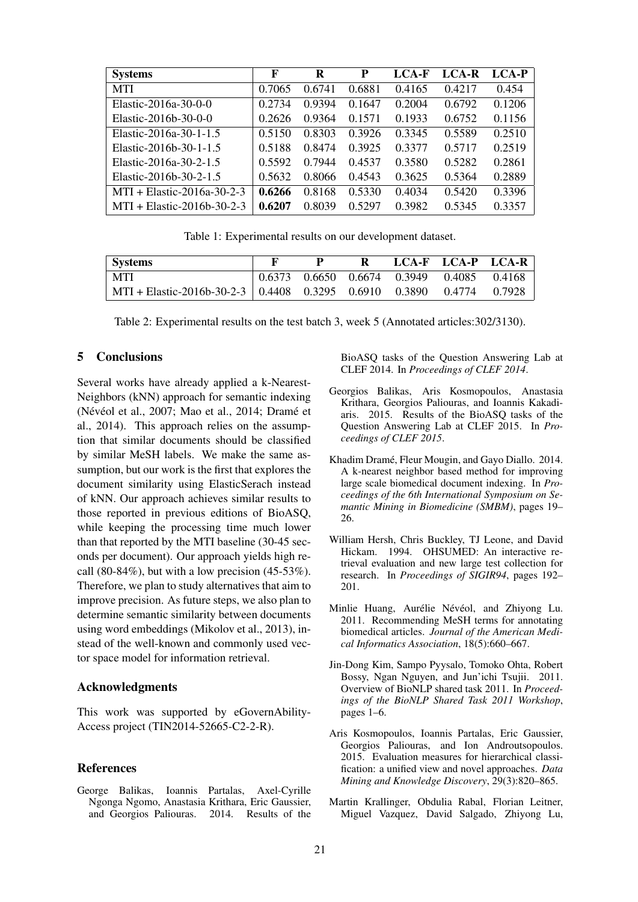| <b>Systems</b>               | F      | R      | P      | LCA-F  | LCA-R  | LCA-P  |
|------------------------------|--------|--------|--------|--------|--------|--------|
| <b>MTI</b>                   | 0.7065 | 0.6741 | 0.6881 | 0.4165 | 0.4217 | 0.454  |
| Elastic-2016a-30-0-0         | 0.2734 | 0.9394 | 0.1647 | 0.2004 | 0.6792 | 0.1206 |
| Elastic-2016b-30-0-0         | 0.2626 | 0.9364 | 0.1571 | 0.1933 | 0.6752 | 0.1156 |
| Elastic-2016a-30-1-1.5       | 0.5150 | 0.8303 | 0.3926 | 0.3345 | 0.5589 | 0.2510 |
| Elastic-2016b-30-1-1.5       | 0.5188 | 0.8474 | 0.3925 | 0.3377 | 0.5717 | 0.2519 |
| Elastic-2016a-30-2-1.5       | 0.5592 | 0.7944 | 0.4537 | 0.3580 | 0.5282 | 0.2861 |
| Elastic-2016b-30-2-1.5       | 0.5632 | 0.8066 | 0.4543 | 0.3625 | 0.5364 | 0.2889 |
| $MTI + Elastic-2016a-30-2-3$ | 0.6266 | 0.8168 | 0.5330 | 0.4034 | 0.5420 | 0.3396 |
| $MTI + Elastic-2016b-30-2-3$ | 0.6207 | 0.8039 | 0.5297 | 0.3982 | 0.5345 | 0.3357 |

Table 1: Experimental results on our development dataset.

| <b>Systems</b>                                                         |  | R |                                                   | LCA-F LCA-P LCA-R |  |
|------------------------------------------------------------------------|--|---|---------------------------------------------------|-------------------|--|
| - MTI                                                                  |  |   | $\vert$ 0.6373 0.6650 0.6674 0.3949 0.4085 0.4168 |                   |  |
| MTI + Elastic-2016b-30-2-3   0.4408 0.3295 0.6910 0.3890 0.4774 0.7928 |  |   |                                                   |                   |  |

Table 2: Experimental results on the test batch 3, week 5 (Annotated articles:302/3130).

#### 5 Conclusions

Several works have already applied a k-Nearest-Neighbors (kNN) approach for semantic indexing (Névéol et al., 2007; Mao et al., 2014; Dramé et al., 2014). This approach relies on the assumption that similar documents should be classified by similar MeSH labels. We make the same assumption, but our work is the first that explores the document similarity using ElasticSerach instead of kNN. Our approach achieves similar results to those reported in previous editions of BioASQ, while keeping the processing time much lower than that reported by the MTI baseline (30-45 seconds per document). Our approach yields high recall  $(80-84\%)$ , but with a low precision  $(45-53\%)$ . Therefore, we plan to study alternatives that aim to improve precision. As future steps, we also plan to determine semantic similarity between documents using word embeddings (Mikolov et al., 2013), instead of the well-known and commonly used vector space model for information retrieval.

## Acknowledgments

This work was supported by eGovernAbility-Access project (TIN2014-52665-C2-2-R).

#### References

George Balikas, Ioannis Partalas, Axel-Cyrille Ngonga Ngomo, Anastasia Krithara, Eric Gaussier, and Georgios Paliouras. 2014. Results of the BioASQ tasks of the Question Answering Lab at CLEF 2014. In *Proceedings of CLEF 2014*.

- Georgios Balikas, Aris Kosmopoulos, Anastasia Krithara, Georgios Paliouras, and Ioannis Kakadiaris. 2015. Results of the BioASQ tasks of the Question Answering Lab at CLEF 2015. In *Proceedings of CLEF 2015*.
- Khadim Dramé, Fleur Mougin, and Gayo Diallo. 2014. A k-nearest neighbor based method for improving large scale biomedical document indexing. In *Proceedings of the 6th International Symposium on Semantic Mining in Biomedicine (SMBM)*, pages 19– 26.
- William Hersh, Chris Buckley, TJ Leone, and David Hickam. 1994. OHSUMED: An interactive retrieval evaluation and new large test collection for research. In *Proceedings of SIGIR94*, pages 192– 201.
- Minlie Huang, Aurélie Névéol, and Zhiyong Lu. 2011. Recommending MeSH terms for annotating biomedical articles. *Journal of the American Medical Informatics Association*, 18(5):660–667.
- Jin-Dong Kim, Sampo Pyysalo, Tomoko Ohta, Robert Bossy, Ngan Nguyen, and Jun'ichi Tsujii. 2011. Overview of BioNLP shared task 2011. In *Proceedings of the BioNLP Shared Task 2011 Workshop*, pages 1–6.
- Aris Kosmopoulos, Ioannis Partalas, Eric Gaussier, Georgios Paliouras, and Ion Androutsopoulos. 2015. Evaluation measures for hierarchical classification: a unified view and novel approaches. *Data Mining and Knowledge Discovery*, 29(3):820–865.
- Martin Krallinger, Obdulia Rabal, Florian Leitner, Miguel Vazquez, David Salgado, Zhiyong Lu,